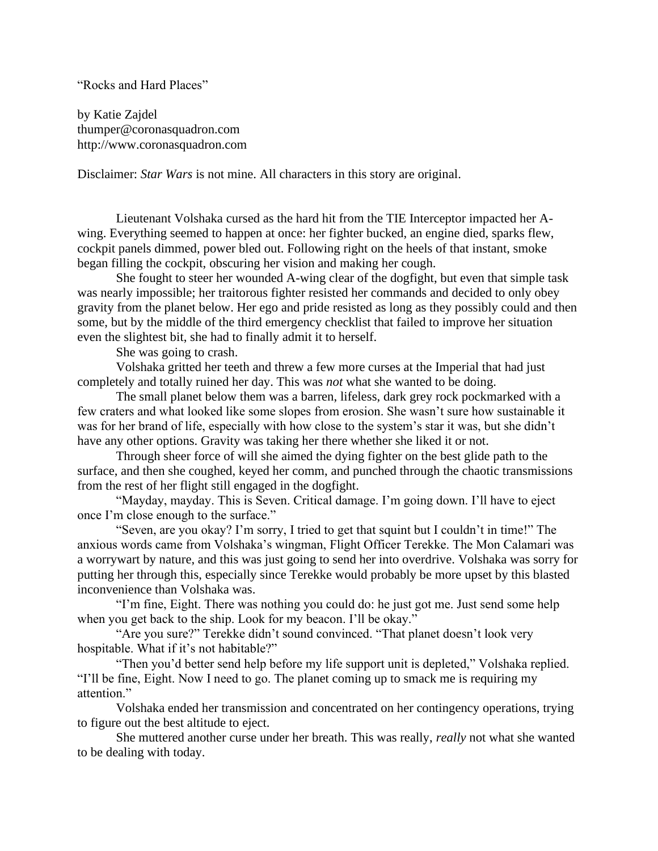"Rocks and Hard Places"

by Katie Zajdel thumper@coronasquadron.com http://www.coronasquadron.com

Disclaimer: *Star Wars* is not mine. All characters in this story are original.

Lieutenant Volshaka cursed as the hard hit from the TIE Interceptor impacted her Awing. Everything seemed to happen at once: her fighter bucked, an engine died, sparks flew, cockpit panels dimmed, power bled out. Following right on the heels of that instant, smoke began filling the cockpit, obscuring her vision and making her cough.

She fought to steer her wounded A-wing clear of the dogfight, but even that simple task was nearly impossible; her traitorous fighter resisted her commands and decided to only obey gravity from the planet below. Her ego and pride resisted as long as they possibly could and then some, but by the middle of the third emergency checklist that failed to improve her situation even the slightest bit, she had to finally admit it to herself.

She was going to crash.

Volshaka gritted her teeth and threw a few more curses at the Imperial that had just completely and totally ruined her day. This was *not* what she wanted to be doing.

The small planet below them was a barren, lifeless, dark grey rock pockmarked with a few craters and what looked like some slopes from erosion. She wasn't sure how sustainable it was for her brand of life, especially with how close to the system's star it was, but she didn't have any other options. Gravity was taking her there whether she liked it or not.

Through sheer force of will she aimed the dying fighter on the best glide path to the surface, and then she coughed, keyed her comm, and punched through the chaotic transmissions from the rest of her flight still engaged in the dogfight.

"Mayday, mayday. This is Seven. Critical damage. I'm going down. I'll have to eject once I'm close enough to the surface."

"Seven, are you okay? I'm sorry, I tried to get that squint but I couldn't in time!" The anxious words came from Volshaka's wingman, Flight Officer Terekke. The Mon Calamari was a worrywart by nature, and this was just going to send her into overdrive. Volshaka was sorry for putting her through this, especially since Terekke would probably be more upset by this blasted inconvenience than Volshaka was.

"I'm fine, Eight. There was nothing you could do: he just got me. Just send some help when you get back to the ship. Look for my beacon. I'll be okay."

"Are you sure?" Terekke didn't sound convinced. "That planet doesn't look very hospitable. What if it's not habitable?"

"Then you'd better send help before my life support unit is depleted," Volshaka replied. "I'll be fine, Eight. Now I need to go. The planet coming up to smack me is requiring my attention."

Volshaka ended her transmission and concentrated on her contingency operations, trying to figure out the best altitude to eject.

She muttered another curse under her breath. This was really, *really* not what she wanted to be dealing with today.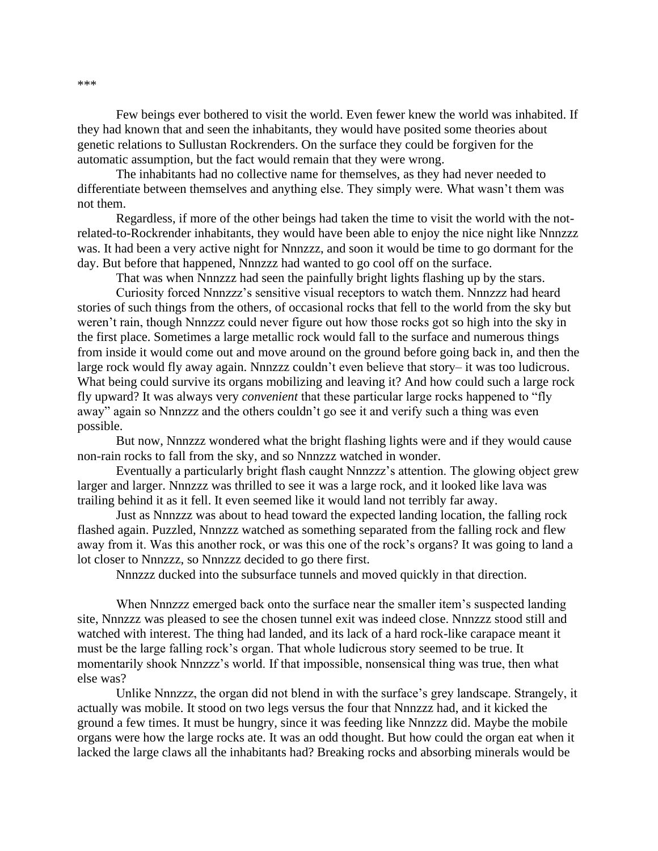Few beings ever bothered to visit the world. Even fewer knew the world was inhabited. If they had known that and seen the inhabitants, they would have posited some theories about genetic relations to Sullustan Rockrenders. On the surface they could be forgiven for the automatic assumption, but the fact would remain that they were wrong.

The inhabitants had no collective name for themselves, as they had never needed to differentiate between themselves and anything else. They simply were. What wasn't them was not them.

Regardless, if more of the other beings had taken the time to visit the world with the notrelated-to-Rockrender inhabitants, they would have been able to enjoy the nice night like Nnnzzz was. It had been a very active night for Nnnzzz, and soon it would be time to go dormant for the day. But before that happened, Nnnzzz had wanted to go cool off on the surface.

That was when Nnnzzz had seen the painfully bright lights flashing up by the stars.

Curiosity forced Nnnzzz's sensitive visual receptors to watch them. Nnnzzz had heard stories of such things from the others, of occasional rocks that fell to the world from the sky but weren't rain, though Nnnzzz could never figure out how those rocks got so high into the sky in the first place. Sometimes a large metallic rock would fall to the surface and numerous things from inside it would come out and move around on the ground before going back in, and then the large rock would fly away again. Nnnzzz couldn't even believe that story– it was too ludicrous. What being could survive its organs mobilizing and leaving it? And how could such a large rock fly upward? It was always very *convenient* that these particular large rocks happened to "fly away" again so Nnnzzz and the others couldn't go see it and verify such a thing was even possible.

But now, Nnnzzz wondered what the bright flashing lights were and if they would cause non-rain rocks to fall from the sky, and so Nnnzzz watched in wonder.

Eventually a particularly bright flash caught Nnnzzz's attention. The glowing object grew larger and larger. Nnnzzz was thrilled to see it was a large rock, and it looked like lava was trailing behind it as it fell. It even seemed like it would land not terribly far away.

Just as Nnnzzz was about to head toward the expected landing location, the falling rock flashed again. Puzzled, Nnnzzz watched as something separated from the falling rock and flew away from it. Was this another rock, or was this one of the rock's organs? It was going to land a lot closer to Nnnzzz, so Nnnzzz decided to go there first.

Nnnzzz ducked into the subsurface tunnels and moved quickly in that direction.

When Nnnzzz emerged back onto the surface near the smaller item's suspected landing site, Nnnzzz was pleased to see the chosen tunnel exit was indeed close. Nnnzzz stood still and watched with interest. The thing had landed, and its lack of a hard rock-like carapace meant it must be the large falling rock's organ. That whole ludicrous story seemed to be true. It momentarily shook Nnnzzz's world. If that impossible, nonsensical thing was true, then what else was?

Unlike Nnnzzz, the organ did not blend in with the surface's grey landscape. Strangely, it actually was mobile. It stood on two legs versus the four that Nnnzzz had, and it kicked the ground a few times. It must be hungry, since it was feeding like Nnnzzz did. Maybe the mobile organs were how the large rocks ate. It was an odd thought. But how could the organ eat when it lacked the large claws all the inhabitants had? Breaking rocks and absorbing minerals would be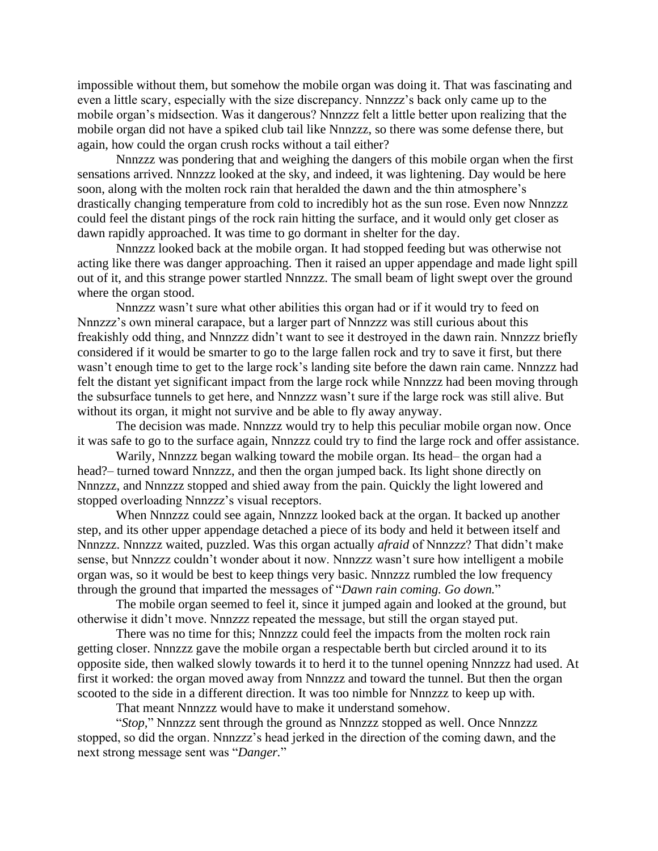impossible without them, but somehow the mobile organ was doing it. That was fascinating and even a little scary, especially with the size discrepancy. Nnnzzz's back only came up to the mobile organ's midsection. Was it dangerous? Nnnzzz felt a little better upon realizing that the mobile organ did not have a spiked club tail like Nnnzzz, so there was some defense there, but again, how could the organ crush rocks without a tail either?

Nnnzzz was pondering that and weighing the dangers of this mobile organ when the first sensations arrived. Nnnzzz looked at the sky, and indeed, it was lightening. Day would be here soon, along with the molten rock rain that heralded the dawn and the thin atmosphere's drastically changing temperature from cold to incredibly hot as the sun rose. Even now Nnnzzz could feel the distant pings of the rock rain hitting the surface, and it would only get closer as dawn rapidly approached. It was time to go dormant in shelter for the day.

Nnnzzz looked back at the mobile organ. It had stopped feeding but was otherwise not acting like there was danger approaching. Then it raised an upper appendage and made light spill out of it, and this strange power startled Nnnzzz. The small beam of light swept over the ground where the organ stood.

Nnnzzz wasn't sure what other abilities this organ had or if it would try to feed on Nnnzzz's own mineral carapace, but a larger part of Nnnzzz was still curious about this freakishly odd thing, and Nnnzzz didn't want to see it destroyed in the dawn rain. Nnnzzz briefly considered if it would be smarter to go to the large fallen rock and try to save it first, but there wasn't enough time to get to the large rock's landing site before the dawn rain came. Nnnzzz had felt the distant yet significant impact from the large rock while Nnnzzz had been moving through the subsurface tunnels to get here, and Nnnzzz wasn't sure if the large rock was still alive. But without its organ, it might not survive and be able to fly away anyway.

The decision was made. Nnnzzz would try to help this peculiar mobile organ now. Once it was safe to go to the surface again, Nnnzzz could try to find the large rock and offer assistance.

Warily, Nnnzzz began walking toward the mobile organ. Its head– the organ had a head?– turned toward Nnnzzz, and then the organ jumped back. Its light shone directly on Nnnzzz, and Nnnzzz stopped and shied away from the pain. Quickly the light lowered and stopped overloading Nnnzzz's visual receptors.

When Nnnzzz could see again, Nnnzzz looked back at the organ. It backed up another step, and its other upper appendage detached a piece of its body and held it between itself and Nnnzzz. Nnnzzz waited, puzzled. Was this organ actually *afraid* of Nnnzzz? That didn't make sense, but Nnnzzz couldn't wonder about it now. Nnnzzz wasn't sure how intelligent a mobile organ was, so it would be best to keep things very basic. Nnnzzz rumbled the low frequency through the ground that imparted the messages of "*Dawn rain coming. Go down.*"

The mobile organ seemed to feel it, since it jumped again and looked at the ground, but otherwise it didn't move. Nnnzzz repeated the message, but still the organ stayed put.

There was no time for this; Nnnzzz could feel the impacts from the molten rock rain getting closer. Nnnzzz gave the mobile organ a respectable berth but circled around it to its opposite side, then walked slowly towards it to herd it to the tunnel opening Nnnzzz had used. At first it worked: the organ moved away from Nnnzzz and toward the tunnel. But then the organ scooted to the side in a different direction. It was too nimble for Nnnzzz to keep up with.

That meant Nnnzzz would have to make it understand somehow.

"*Stop,*" Nnnzzz sent through the ground as Nnnzzz stopped as well. Once Nnnzzz stopped, so did the organ. Nnnzzz's head jerked in the direction of the coming dawn, and the next strong message sent was "*Danger.*"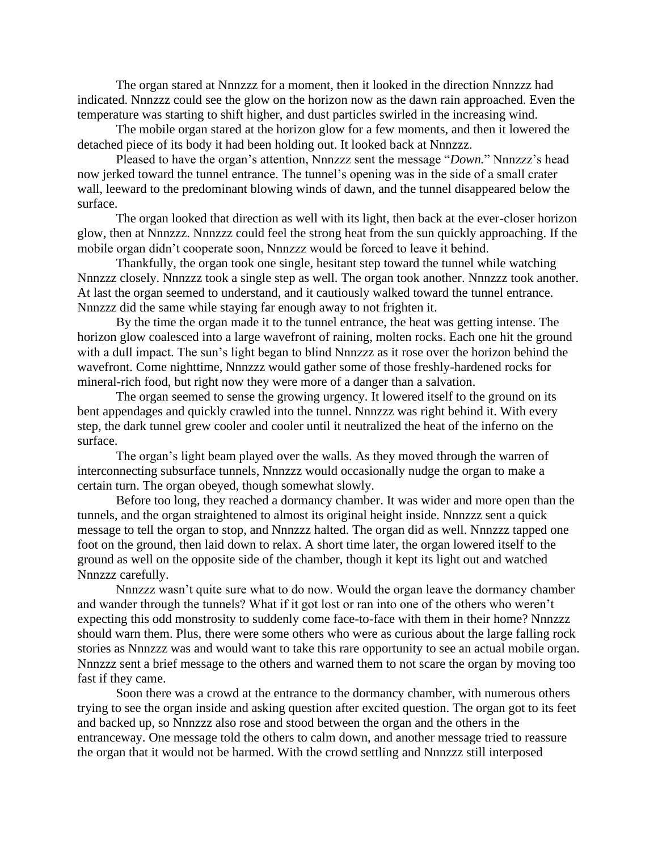The organ stared at Nnnzzz for a moment, then it looked in the direction Nnnzzz had indicated. Nnnzzz could see the glow on the horizon now as the dawn rain approached. Even the temperature was starting to shift higher, and dust particles swirled in the increasing wind.

The mobile organ stared at the horizon glow for a few moments, and then it lowered the detached piece of its body it had been holding out. It looked back at Nnnzzz.

Pleased to have the organ's attention, Nnnzzz sent the message "*Down.*" Nnnzzz's head now jerked toward the tunnel entrance. The tunnel's opening was in the side of a small crater wall, leeward to the predominant blowing winds of dawn, and the tunnel disappeared below the surface.

The organ looked that direction as well with its light, then back at the ever-closer horizon glow, then at Nnnzzz. Nnnzzz could feel the strong heat from the sun quickly approaching. If the mobile organ didn't cooperate soon, Nnnzzz would be forced to leave it behind.

Thankfully, the organ took one single, hesitant step toward the tunnel while watching Nnnzzz closely. Nnnzzz took a single step as well. The organ took another. Nnnzzz took another. At last the organ seemed to understand, and it cautiously walked toward the tunnel entrance. Nnnzzz did the same while staying far enough away to not frighten it.

By the time the organ made it to the tunnel entrance, the heat was getting intense. The horizon glow coalesced into a large wavefront of raining, molten rocks. Each one hit the ground with a dull impact. The sun's light began to blind Nnnzzz as it rose over the horizon behind the wavefront. Come nighttime, Nnnzzz would gather some of those freshly-hardened rocks for mineral-rich food, but right now they were more of a danger than a salvation.

The organ seemed to sense the growing urgency. It lowered itself to the ground on its bent appendages and quickly crawled into the tunnel. Nnnzzz was right behind it. With every step, the dark tunnel grew cooler and cooler until it neutralized the heat of the inferno on the surface.

The organ's light beam played over the walls. As they moved through the warren of interconnecting subsurface tunnels, Nnnzzz would occasionally nudge the organ to make a certain turn. The organ obeyed, though somewhat slowly.

Before too long, they reached a dormancy chamber. It was wider and more open than the tunnels, and the organ straightened to almost its original height inside. Nnnzzz sent a quick message to tell the organ to stop, and Nnnzzz halted. The organ did as well. Nnnzzz tapped one foot on the ground, then laid down to relax. A short time later, the organ lowered itself to the ground as well on the opposite side of the chamber, though it kept its light out and watched Nnnzzz carefully.

Nnnzzz wasn't quite sure what to do now. Would the organ leave the dormancy chamber and wander through the tunnels? What if it got lost or ran into one of the others who weren't expecting this odd monstrosity to suddenly come face-to-face with them in their home? Nnnzzz should warn them. Plus, there were some others who were as curious about the large falling rock stories as Nnnzzz was and would want to take this rare opportunity to see an actual mobile organ. Nnnzzz sent a brief message to the others and warned them to not scare the organ by moving too fast if they came.

Soon there was a crowd at the entrance to the dormancy chamber, with numerous others trying to see the organ inside and asking question after excited question. The organ got to its feet and backed up, so Nnnzzz also rose and stood between the organ and the others in the entranceway. One message told the others to calm down, and another message tried to reassure the organ that it would not be harmed. With the crowd settling and Nnnzzz still interposed